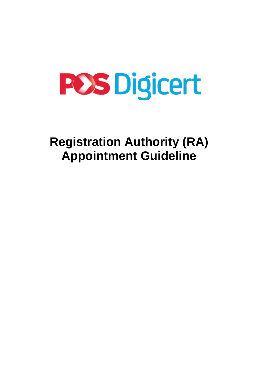# **POS Digicert**

# **Registration Authority (RA) Appointment Guideline**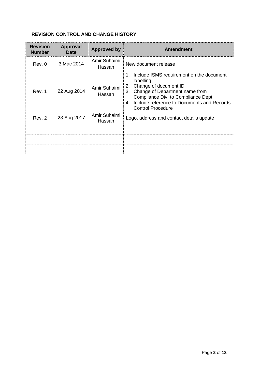# **REVISION CONTROL AND CHANGE HISTORY**

| <b>Revision</b><br><b>Number</b> | <b>Approval</b><br><b>Date</b> | <b>Approved by</b>     | <b>Amendment</b>                                                                                                                                                                                                                                          |
|----------------------------------|--------------------------------|------------------------|-----------------------------------------------------------------------------------------------------------------------------------------------------------------------------------------------------------------------------------------------------------|
| Rev. 0                           | 3 Mac 2014                     | Amir Suhaimi<br>Hassan | New document release                                                                                                                                                                                                                                      |
| Rev. 1                           | 22 Aug 2014                    | Amir Suhaimi<br>Hassan | Include ISMS requirement on the document<br>1.<br>labelling<br>Change of document ID<br>2.<br>Change of Department name from<br>3.<br>Compliance Div. to Compliance Dept.<br>Include reference to Documents and Records<br>4.<br><b>Control Procedure</b> |
| Rev. 2                           | 23 Aug 2017                    | Amir Suhaimi<br>Hassan | Logo, address and contact details update                                                                                                                                                                                                                  |
|                                  |                                |                        |                                                                                                                                                                                                                                                           |
|                                  |                                |                        |                                                                                                                                                                                                                                                           |
|                                  |                                |                        |                                                                                                                                                                                                                                                           |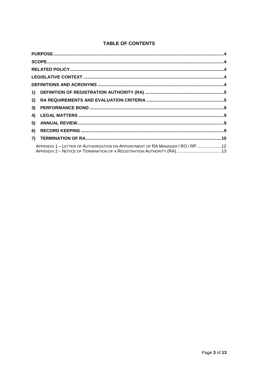# **TABLE OF CONTENTS**

| 2) |                                                                                 |  |
|----|---------------------------------------------------------------------------------|--|
| 3) |                                                                                 |  |
| 4) |                                                                                 |  |
| 5) |                                                                                 |  |
| 6) |                                                                                 |  |
| 7) |                                                                                 |  |
|    | APPENDIX 1 - LETTER OF AUTHORIZATION ON APPOINTMENT OF RA MANAGER / RO / RP  12 |  |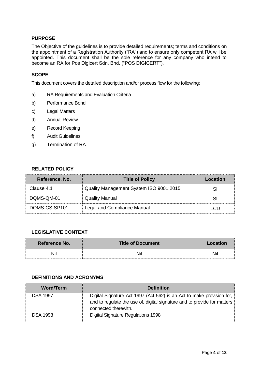#### <span id="page-3-0"></span>**PURPOSE**

The Objective of the guidelines is to provide detailed requirements; terms and conditions on the appointment of a Registration Authority ("RA") and to ensure only competent RA will be appointed. This document shall be the sole reference for any company who intend to become an RA for Pos Digicert Sdn. Bhd. ("POS DIGICERT").

#### <span id="page-3-1"></span>**SCOPE**

This document covers the detailed description and/or process flow for the following:

- a) RA Requirements and Evaluation Criteria
- b) Performance Bond
- c) Legal Matters
- d) Annual Review
- e) Record Keeping
- f) Audit Guidelines
- <span id="page-3-2"></span>g) Termination of RA

#### **RELATED POLICY**

| Reference, No. | <b>Title of Policy</b>                  | Location |
|----------------|-----------------------------------------|----------|
| Clause 4.1     | Quality Management System ISO 9001:2015 | SI       |
| DOMS-QM-01     | <b>Quality Manual</b>                   | SI       |
| DOMS-CS-SP101  | Legal and Compliance Manual             | I CD     |

#### <span id="page-3-3"></span>**LEGISLATIVE CONTEXT**

| <b>Reference No.</b> | <b>Title of Document</b> | <b>LOCATION</b> |
|----------------------|--------------------------|-----------------|
| Νı                   |                          | Νı              |

#### <span id="page-3-4"></span>**DEFINITIONS AND ACRONYMS**

| <b>Word/Term</b> | <b>Definition</b>                                                                                                                                                         |
|------------------|---------------------------------------------------------------------------------------------------------------------------------------------------------------------------|
| <b>DSA 1997</b>  | Digital Signature Act 1997 (Act 562) is an Act to make provision for,<br>and to regulate the use of, digital signature and to provide for matters<br>connected therewith. |
| <b>DSA 1998</b>  | Digital Signature Regulations 1998                                                                                                                                        |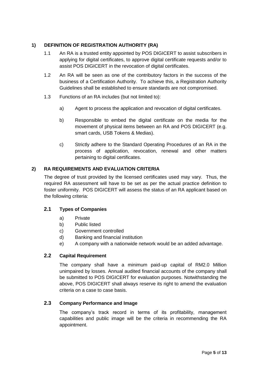# <span id="page-4-0"></span>**1) DEFINITION OF REGISTRATION AUTHORITY (RA)**

- 1.1 An RA is a trusted entity appointed by POS DIGICERT to assist subscribers in applying for digital certificates, to approve digital certificate requests and/or to assist POS DIGICERT in the revocation of digital certificates.
- 1.2 An RA will be seen as one of the contributory factors in the success of the business of a Certification Authority. To achieve this, a Registration Authority Guidelines shall be established to ensure standards are not compromised.
- 1.3 Functions of an RA includes (but not limited to):
	- a) Agent to process the application and revocation of digital certificates.
	- b) Responsible to embed the digital certificate on the media for the movement of physical items between an RA and POS DIGICERT (e.g. smart cards, USB Tokens & Medias).
	- c) Strictly adhere to the Standard Operating Procedures of an RA in the process of application, revocation, renewal and other matters pertaining to digital certificates.

# <span id="page-4-1"></span>**2) RA REQUIREMENTS AND EVALUATION CRITERIA**

The degree of trust provided by the licensed certificates used may vary. Thus, the required RA assessment will have to be set as per the actual practice definition to foster uniformity. POS DIGICERT will assess the status of an RA applicant based on the following criteria:

# **2.1 Types of Companies**

- a) Private
- b) Public listed
- c) Government controlled
- d) Banking and financial institution
- e) A company with a nationwide network would be an added advantage.

#### **2.2 Capital Requirement**

The company shall have a minimum paid-up capital of RM2.0 Million unimpaired by losses. Annual audited financial accounts of the company shall be submitted to POS DIGICERT for evaluation purposes. Notwithstanding the above, POS DIGICERT shall always reserve its right to amend the evaluation criteria on a case to case basis.

# **2.3 Company Performance and Image**

The company's track record in terms of its profitability, management capabilities and public image will be the criteria in recommending the RA appointment.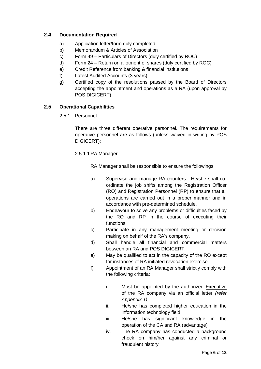# **2.4 Documentation Required**

- a) Application letter/form duly completed
- b) Memorandum & Articles of Association
- c) Form 49 Particulars of Directors (duly certified by ROC)
- d) Form 24 Return on allotment of shares (duly certified by ROC)
- e) Credit Reference from banking & financial institutions
- f) Latest Audited Accounts (3 years)
- g) Certified copy of the resolutions passed by the Board of Directors accepting the appointment and operations as a RA (upon approval by POS DIGICERT)

# **2.5 Operational Capabilities**

2.5.1 Personnel

There are three different operative personnel. The requirements for operative personnel are as follows (unless waived in writing by POS DIGICERT):

# 2.5.1.1 RA Manager

RA Manager shall be responsible to ensure the followings:

- a) Supervise and manage RA counters. He/she shall coordinate the job shifts among the Registration Officer (RO) and Registration Personnel (RP) to ensure that all operations are carried out in a proper manner and in accordance with pre-determined schedule.
- b) Endeavour to solve any problems or difficulties faced by the RO and RP in the course of executing their functions.
- c) Participate in any management meeting or decision making on behalf of the RA's company.
- d) Shall handle all financial and commercial matters between an RA and POS DIGICERT.
- e) May be qualified to act in the capacity of the RO except for instances of RA initiated revocation exercise.
- f) Appointment of an RA Manager shall strictly comply with the following criteria:
	- i. Must be appointed by the authorized Executive of the RA company via an official letter *(refer Appendix 1)*
	- ii. He/she has completed higher education in the information technology field
	- iii. He/she has significant knowledge in the operation of the CA and RA (advantage)
	- iv. The RA company has conducted a background check on him/her against any criminal or fraudulent history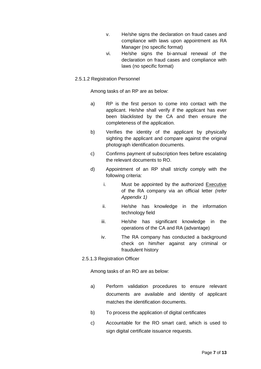- v. He/she signs the declaration on fraud cases and compliance with laws upon appointment as RA Manager (no specific format)
- vi. He/she signs the bi-annual renewal of the declaration on fraud cases and compliance with laws (no specific format)

#### 2.5.1.2 Registration Personnel

Among tasks of an RP are as below:

- a) RP is the first person to come into contact with the applicant. He/she shall verify if the applicant has ever been blacklisted by the CA and then ensure the completeness of the application.
- b) Verifies the identity of the applicant by physically sighting the applicant and compare against the original photograph identification documents.
- c) Confirms payment of subscription fees before escalating the relevant documents to RO.
- d) Appointment of an RP shall strictly comply with the following criteria:
	- i. Must be appointed by the authorized Executive of the RA company via an official letter *(refer Appendix 1)*
	- ii. He/she has knowledge in the information technology field
	- iii. He/she has significant knowledge in the operations of the CA and RA (advantage)
	- iv. The RA company has conducted a background check on him/her against any criminal or fraudulent history
- 2.5.1.3 Registration Officer

Among tasks of an RO are as below:

- a) Perform validation procedures to ensure relevant documents are available and identity of applicant matches the identification documents.
- b) To process the application of digital certificates
- c) Accountable for the RO smart card, which is used to sign digital certificate issuance requests.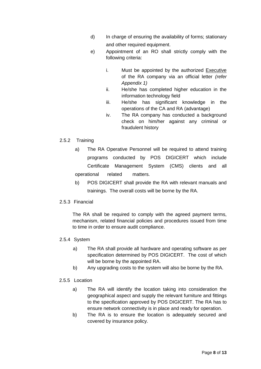- d) In charge of ensuring the availability of forms; stationary and other required equipment.
- e) Appointment of an RO shall strictly comply with the following criteria:
	- i. Must be appointed by the authorized Executive of the RA company via an official letter *(refer Appendix 1)*
	- ii. He/she has completed higher education in the information technology field
	- iii. He/she has significant knowledge in the operations of the CA and RA (advantage)
	- iv. The RA company has conducted a background check on him/her against any criminal or fraudulent history

# 2.5.2 Training

- a) The RA Operative Personnel will be required to attend training programs conducted by POS DIGICERT which include Certificate Management System (CMS) clients and all operational related matters.
- b) POS DIGICERT shall provide the RA with relevant manuals and trainings. The overall costs will be borne by the RA.

#### 2.5.3 Financial

The RA shall be required to comply with the agreed payment terms, mechanism, related financial policies and procedures issued from time to time in order to ensure audit compliance.

#### 2.5.4 System

- a) The RA shall provide all hardware and operating software as per specification determined by POS DIGICERT. The cost of which will be borne by the appointed RA.
- b) Any upgrading costs to the system will also be borne by the RA.

# 2.5.5 Location

- a) The RA will identify the location taking into consideration the geographical aspect and supply the relevant furniture and fittings to the specification approved by POS DIGICERT. The RA has to ensure network connectivity is in place and ready for operation.
- b) The RA is to ensure the location is adequately secured and covered by insurance policy.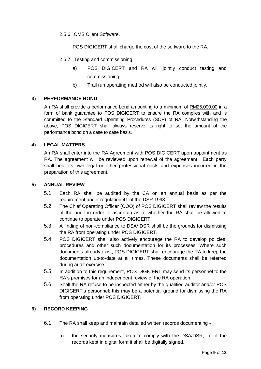2.5.6 CMS Client Software.

POS DIGICERT shall charge the cost of the software to the RA.

- 2.5.7 Testing and commissioning
	- a) POS DIGICERT and RA will jointly conduct testing and commissioning.
	- b) Trail run operating method will also be conducted jointly.

# <span id="page-8-0"></span>**3) PERFORMANCE BOND**

An RA shall provide a performance bond amounting to a minimum of RM25,000.00 in a form of bank guarantee to POS DIGICERT to ensure the RA complies with and is committed to the Standard Operating Procedures (SOP) of RA. Notwithstanding the above, POS DIGICERT shall always reserve its right to set the amount of the performance bond on a case to case basis.

# <span id="page-8-1"></span>**4) LEGAL MATTERS**

An RA shall enter into the RA Agreement with POS DIGICERT upon appointment as RA. The agreement will be reviewed upon renewal of the agreement. Each party shall bear its own legal or other professional costs and expenses incurred in the preparation of this agreement.

#### <span id="page-8-2"></span>**5) ANNUAL REVIEW**

- 5.1 Each RA shall be audited by the CA on an annual basis as per the requirement under regulation 41 of the DSR 1998.
- 5.2 The Chief Operating Officer (COO) of POS DIGICERT shall review the results of the audit in order to ascertain as to whether the RA shall be allowed to continue to operate under POS DIGICERT.
- 5.3 A finding of non-compliance to DSA/ DSR shall be the grounds for dismissing the RA from operating under POS DIGICERT.
- 5.4 POS DIGICERT shall also actively encourage the RA to develop policies, procedures and other such documentation for its processes. Where such documents already exist, POS DIGICERT shall encourage the RA to keep the documentation up-to-date at all times. These documents shall be referred during audit exercise.
- 5.5 In addition to this requirement, POS DIGICERT may send its personnel to the RA's premises for an independent review of the RA operation.
- 5.6 Shall the RA refuse to be inspected either by the qualified auditor and/or POS DIGICERT's personnel; this may be a potential ground for dismissing the RA from operating under POS DIGICERT.

#### <span id="page-8-3"></span>**6) RECORD KEEPING**

- 6.1 The RA shall keep and maintain detailed written records documenting
	- a) the security measures taken to comply with the DSA/DSR; i.e. if the records kept in digital form it shall be digitally signed.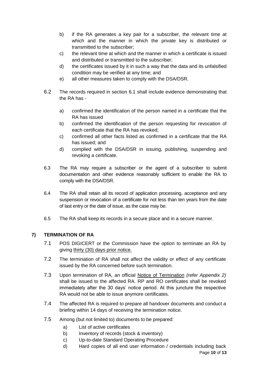- b) if the RA generates a key pair for a subscriber, the relevant time at which and the manner in which the private key is distributed or transmitted to the subscriber;
- c) the relevant time at which and the manner in which a certificate is issued and distributed or transmitted to the subscriber;
- d) the certificates issued by it in such a way that the data and its unfalsified condition may be verified at any time; and
- e) all other measures taken to comply with the DSA/DSR.
- 6.2 The records required in section 6.1 shall include evidence demonstrating that the RA has
	- a) confirmed the identification of the person named in a certificate that the RA has issued
	- b) confirmed the identification of the person requesting for revocation of each certificate that the RA has revoked;
	- c) confirmed all other facts listed as confirmed in a certificate that the RA has issued; and
	- d) complied with the DSA/DSR in issuing, publishing, suspending and revoking a certificate.
- 6.3 The RA may require a subscriber or the agent of a subscriber to submit documentation and other evidence reasonably sufficient to enable the RA to comply with the DSA/DSR.
- 6.4 The RA shall retain all its record of application processing, acceptance and any suspension or revocation of a certificate for not less than ten years from the date of last entry or the date of issue, as the case may be.
- 6.5 The RA shall keep its records in a secure place and in a secure manner.

# <span id="page-9-0"></span>**7) TERMINATION OF RA**

- 7.1 POS DIGICERT or the Commission have the option to terminate an RA by giving thirty (30) days prior notice.
- 7.2 The termination of RA shall not affect the validity or effect of any certificate issued by the RA concerned before such termination.
- 7.3 Upon termination of RA, an official Notice of Termination *(refer Appendix 2)* shall be issued to the affected RA. RP and RO certificates shall be revoked immediately after the 30 days' notice period. At this juncture the respective RA would not be able to issue anymore certificates.
- 7.4 The affected RA is required to prepare all handover documents and conduct a briefing within 14 days of receiving the termination notice.
- 7.5 Among (but not limited to) documents to be prepared:
	- a) List of active certificates
	- b) Inventory of records (stock & inventory)
	- c) Up-to-date Standard Operating Procedure
	- d) Hard copies of all end user information / credentials including back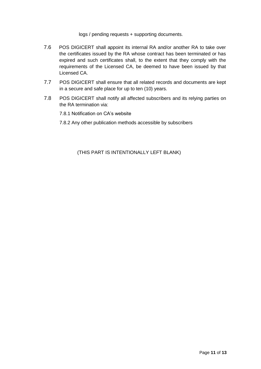logs / pending requests + supporting documents.

- 7.6 POS DIGICERT shall appoint its internal RA and/or another RA to take over the certificates issued by the RA whose contract has been terminated or has expired and such certificates shall, to the extent that they comply with the requirements of the Licensed CA, be deemed to have been issued by that Licensed CA.
- 7.7 POS DIGICERT shall ensure that all related records and documents are kept in a secure and safe place for up to ten (10) years.
- 7.8 POS DIGICERT shall notify all affected subscribers and its relying parties on the RA termination via:
	- 7.8.1 Notification on CA's website
	- 7.8.2 Any other publication methods accessible by subscribers

<span id="page-10-0"></span>(THIS PART IS INTENTIONALLY LEFT BLANK)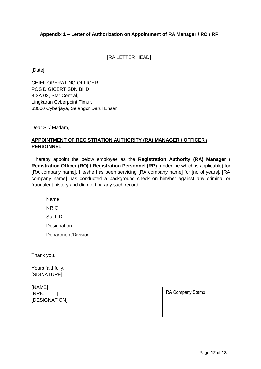#### **Appendix 1 – Letter of Authorization on Appointment of RA Manager / RO / RP**

[RA LETTER HEAD]

[Date]

CHIEF OPERATING OFFICER POS DIGICERT SDN BHD 8-3A-02, Star Central, Lingkaran Cyberpoint Timur, 63000 Cyberjaya, Selangor Darul Ehsan

Dear Sir/ Madam,

# **APPOINTMENT OF REGISTRATION AUTHORITY (RA) MANAGER / OFFICER / PERSONNEL**

I hereby appoint the below employee as the **Registration Authority (RA) Manager / Registration Officer (RO) / Registration Personnel (RP)** (underline which is applicable) for [RA company name]. He/she has been servicing [RA company name] for [no of years]. [RA company name] has conducted a background check on him/her against any criminal or fraudulent history and did not find any such record.

| Name                  |  |
|-----------------------|--|
| <b>NRIC</b>           |  |
| Staff ID              |  |
| Designation           |  |
| Department/Division : |  |

Thank you.

Yours faithfully, [SIGNATURE]

[NAME] [NRIC ] [DESIGNATION]

\_\_\_\_\_\_\_\_\_\_\_\_\_\_\_\_\_\_\_\_\_\_\_\_\_\_\_\_\_\_

RA Company Stamp